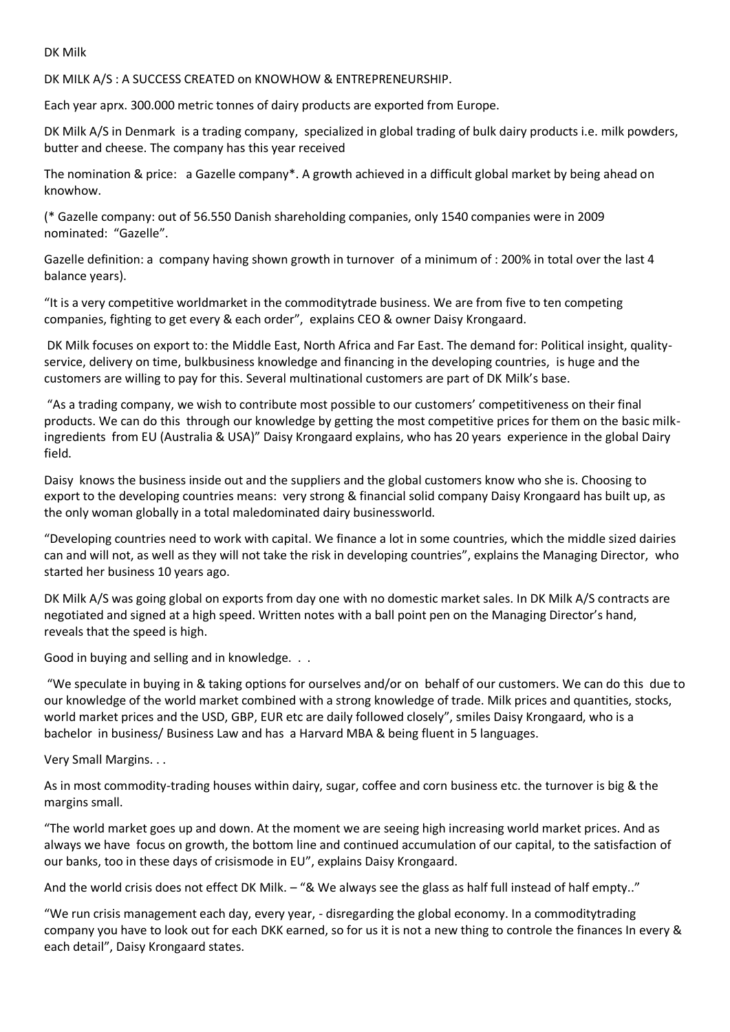DK Milk

DK MILK A/S : A SUCCESS CREATED on KNOWHOW & ENTREPRENEURSHIP.

Each year aprx. 300.000 metric tonnes of dairy products are exported from Europe.

DK Milk A/S in Denmark is a trading company, specialized in global trading of bulk dairy products i.e. milk powders, butter and cheese. The company has this year received

The nomination & price: a Gazelle company\*. A growth achieved in a difficult global market by being ahead on knowhow.

(\* Gazelle company: out of 56.550 Danish shareholding companies, only 1540 companies were in 2009 nominated: "Gazelle".

Gazelle definition: a company having shown growth in turnover of a minimum of : 200% in total over the last 4 balance years).

"It is a very competitive worldmarket in the commoditytrade business. We are from five to ten competing companies, fighting to get every & each order", explains CEO & owner Daisy Krongaard.

DK Milk focuses on export to: the Middle East, North Africa and Far East. The demand for: Political insight, qualityservice, delivery on time, bulkbusiness knowledge and financing in the developing countries, is huge and the customers are willing to pay for this. Several multinational customers are part of DK Milk's base.

"As a trading company, we wish to contribute most possible to our customers' competitiveness on their final products. We can do this through our knowledge by getting the most competitive prices for them on the basic milkingredients from EU (Australia & USA)" Daisy Krongaard explains, who has 20 years experience in the global Dairy field.

Daisy knows the business inside out and the suppliers and the global customers know who she is. Choosing to export to the developing countries means: very strong & financial solid company Daisy Krongaard has built up, as the only woman globally in a total maledominated dairy businessworld.

"Developing countries need to work with capital. We finance a lot in some countries, which the middle sized dairies can and will not, as well as they will not take the risk in developing countries", explains the Managing Director, who started her business 10 years ago.

DK Milk A/S was going global on exports from day one with no domestic market sales. In DK Milk A/S contracts are negotiated and signed at a high speed. Written notes with a ball point pen on the Managing Director's hand, reveals that the speed is high.

Good in buying and selling and in knowledge. . .

"We speculate in buying in & taking options for ourselves and/or on behalf of our customers. We can do this due to our knowledge of the world market combined with a strong knowledge of trade. Milk prices and quantities, stocks, world market prices and the USD, GBP, EUR etc are daily followed closely", smiles Daisy Krongaard, who is a bachelor in business/ Business Law and has a Harvard MBA & being fluent in 5 languages.

Very Small Margins. . .

As in most commodity-trading houses within dairy, sugar, coffee and corn business etc. the turnover is big & the margins small.

"The world market goes up and down. At the moment we are seeing high increasing world market prices. And as always we have focus on growth, the bottom line and continued accumulation of our capital, to the satisfaction of our banks, too in these days of crisismode in EU", explains Daisy Krongaard.

And the world crisis does not effect DK Milk. – "& We always see the glass as half full instead of half empty.."

"We run crisis management each day, every year, - disregarding the global economy. In a commoditytrading company you have to look out for each DKK earned, so for us it is not a new thing to controle the finances In every & each detail", Daisy Krongaard states.